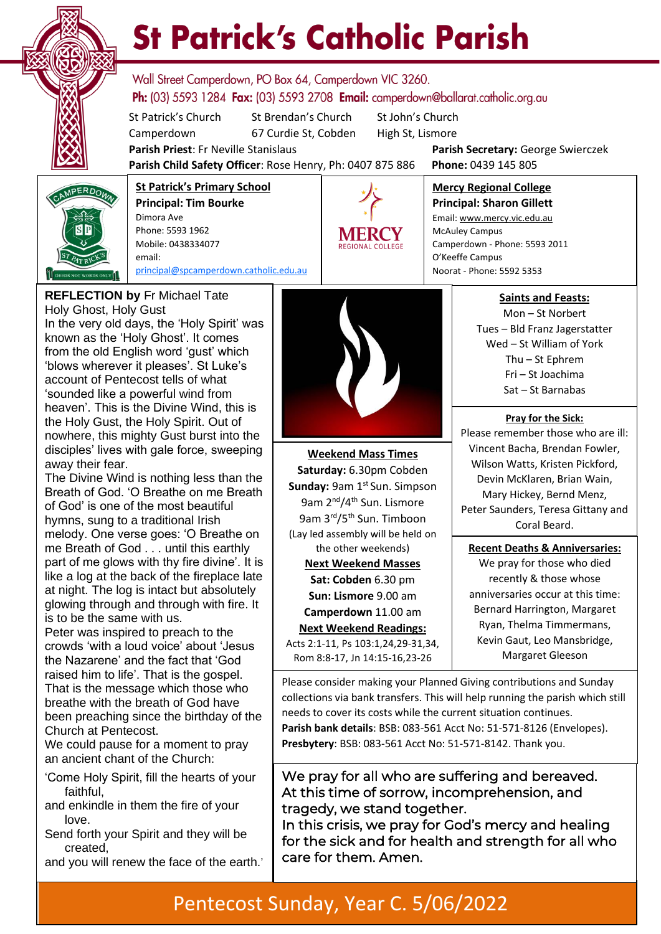

# **St Patrick's Catholic Parish**

Wall Street Camperdown, PO Box 64, Camperdown VIC 3260. **Ph:** (03) 5593 1284 **Fax:** (03) 5593 2708 **Email:** camperdown@ballarat.catholic.org.au

St Patrick's Church St Brendan's Church St John's Church

Camperdown 67 Curdie St, Cobden High St, Lismore

**Parish Child Safety Officer**: Rose Henry, Ph: 0407 875 886 **Phone:** 0439 145 805

**Parish Priest**: Fr Neville Stanislaus **Parish Secretary:** George Swierczek



**St Patrick's Primary School Principal: Tim Bourke**  Dimora Ave Phone: 5593 1962 Mobile: 0438334077 email: [principal@spcamperdown.catholic.edu.au](mailto:principal@spcamperdown.catholic.edu.auu)



#### **Mercy Regional College Principal: Sharon Gillett**

Email: www.mercy.vic.edu.au McAuley Campus Camperdown - Phone: 5593 2011 O'Keeffe Campus Noorat - Phone: 5592 5353

# **REFLECTION by** Fr Michael Tate

Holy Ghost, Holy Gust In the very old days, the 'Holy Spirit' was known as the 'Holy Ghost'. It comes from the old English word 'gust' which 'blows wherever it pleases'. St Luke's account of Pentecost tells of what 'sounded like a powerful wind from heaven'. This is the Divine Wind, this is the Holy Gust, the Holy Spirit. Out of nowhere, this mighty Gust burst into the disciples' lives with gale force, sweeping away their fear.

at night. The log is intact but absolutely The Divine Wind is nothing less than the Breath of God. 'O Breathe on me Breath of God' is one of the most beautiful hymns, sung to a traditional Irish melody. One verse goes: 'O Breathe on me Breath of God . . . until this earthly part of me glows with thy fire divine'. It is like a log at the back of the fireplace late glowing through and through with fire. It is to be the same with us.

. crowds 'with a loud voice' about 'Jesus Peter was inspired to preach to the the Nazarene' and the fact that 'God raised him to life'. That is the gospel. That is the message which those who breathe with the breath of God have been preaching since the birthday of the Church at Pentecost.

We could pause for a moment to pray an ancient chant of the Church:

- 'Come Holy Spirit, fill the hearts of your faithful,
- and enkindle in them the fire of your love.
- Send forth your Spirit and they will be created,

and you will renew the face of the earth.'



**Weekend Mass Times Saturday:** 6.30pm Cobden **Sunday: 9am 1st Sun. Simpson** 9am 2<sup>nd</sup>/4<sup>th</sup> Sun. Lismore 9am 3rd/5th Sun. Timboon (Lay led assembly will be held on the other weekends) **Next Weekend Masses Sat: Cobden** 6.30 pm **Sun: Lismore** 9.00 am **Camperdown** 11.00 am **Next Weekend Readings:**

Acts 2:1-11, Ps 103:1,24,29-31,34, Rom 8:8-17, Jn 14:15-16,23-26

# **Saints and Feasts:**

Mon – St Norbert Tues – Bld Franz Jagerstatter Wed – St William of York Thu – St Ephrem Fri – St Joachima Sat – St Barnabas

**Pray for the Sick:**

Please remember those who are ill: Vincent Bacha, Brendan Fowler, Wilson Watts, Kristen Pickford, Devin McKlaren, Brian Wain, Mary Hickey, Bernd Menz, Peter Saunders, Teresa Gittany and Coral Beard.

 **Recent Deaths & Anniversaries:** We pray for those who died recently & those whose anniversaries occur at this time: Bernard Harrington, Margaret Ryan, Thelma Timmermans, Kevin Gaut, Leo Mansbridge, Margaret Gleeson

Please consider making your Planned Giving contributions and Sunday collections via bank transfers. This will help running the parish which still needs to cover its costs while the current situation continues. **Parish bank details**: BSB: 083-561 Acct No: 51-571-8126 (Envelopes). **Presbytery**: BSB: 083-561 Acct No: 51-571-8142. Thank you.

We pray for all who are suffering and bereaved. At this time of sorrow, incomprehension, and tragedy, we stand together.

In this crisis, we pray for God's mercy and healing for the sick and for health and strength for all who care for them. Amen.

# Pentecost Sunday, Year C. 5/06/2022 6.00 pm Cobden **Sunday**

9.00 am (1st, 3rd ) Lismore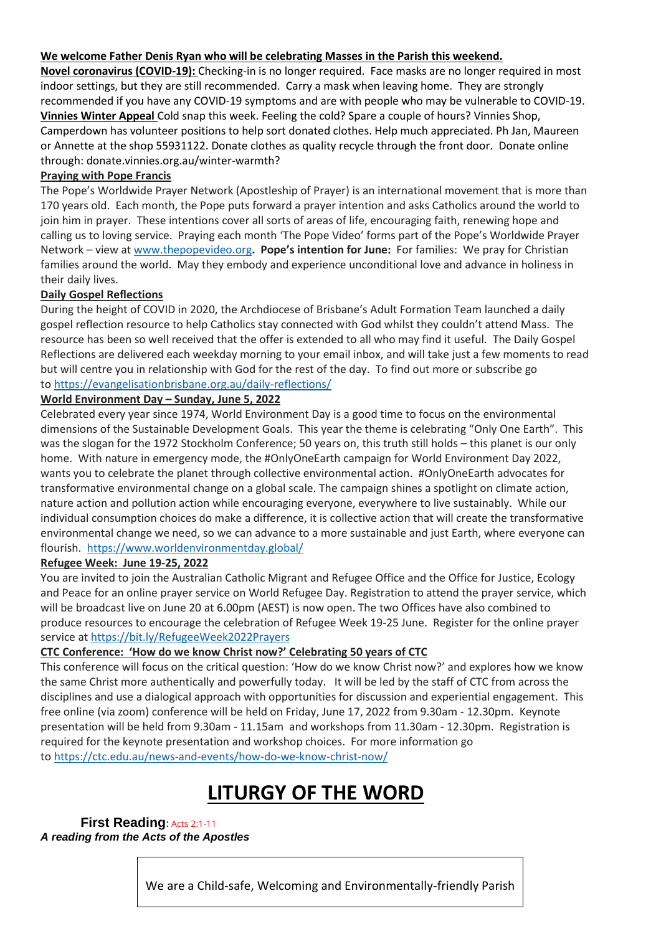# **We welcome Father Denis Ryan who will be celebrating Masses in the Parish this weekend.**

**Novel coronavirus (COVID-19):** Checking-in is no longer required. Face masks are no longer required in most indoor settings, but they are still recommended. Carry a mask when leaving home. They are strongly recommended if you have any COVID-19 symptoms and are with people who may be vulnerable to COVID-19. **Vinnies Winter Appeal** Cold snap this week. Feeling the cold? Spare a couple of hours? Vinnies Shop, Camperdown has volunteer positions to help sort donated clothes. Help much appreciated. Ph Jan, Maureen or Annette at the shop 55931122. Donate clothes as quality recycle through the front door. Donate online through: donate.vinnies.org.au/winter-warmth?

# **Praying with Pope Francis**

The Pope's Worldwide Prayer Network (Apostleship of Prayer) is an international movement that is more than 170 years old. Each month, the Pope puts forward a prayer intention and asks Catholics around the world to join him in prayer. These intentions cover all sorts of areas of life, encouraging faith, renewing hope and calling us to loving service. Praying each month 'The Pope Video' forms part of the Pope's Worldwide Prayer Network – view at [www.thepopevideo.org](http://www.thepopevideo.org/)**. Pope's intention for June:** For families: We pray for Christian families around the world. May they embody and experience unconditional love and advance in holiness in their daily lives.

# **Daily Gospel Reflections**

During the height of COVID in 2020, the Archdiocese of Brisbane's Adult Formation Team launched a daily gospel reflection resource to help Catholics stay connected with God whilst they couldn't attend Mass. The resource has been so well received that the offer is extended to all who may find it useful. The Daily Gospel Reflections are delivered each weekday morning to your email inbox, and will take just a few moments to read but will centre you in relationship with God for the rest of the day. To find out more or subscribe go to <https://evangelisationbrisbane.org.au/daily-reflections/>

# **World Environment Day – Sunday, June 5, 2022**

Celebrated every year since 1974, World Environment Day is a good time to focus on the environmental dimensions of the Sustainable Development Goals. This year the theme is celebrating "Only One Earth". This was the slogan for the 1972 Stockholm Conference; 50 years on, this truth still holds – this planet is our only home. With nature in emergency mode, the #OnlyOneEarth campaign for World Environment Day 2022, wants you to celebrate the planet through collective environmental action. #OnlyOneEarth advocates for transformative environmental change on a global scale. The campaign shines a spotlight on climate action, nature action and pollution action while encouraging everyone, everywhere to live sustainably. While our individual consumption choices do make a difference, it is collective action that will create the transformative environmental change we need, so we can advance to a more sustainable and just Earth, where everyone can flourish. <https://www.worldenvironmentday.global/>

# **Refugee Week: June 19-25, 2022**

You are invited to join the Australian Catholic Migrant and Refugee Office and the Office for Justice, Ecology and Peace for an online prayer service on World Refugee Day. Registration to attend the prayer service, which will be broadcast live on June 20 at 6.00pm (AEST) is now open. The two Offices have also combined to produce resources to encourage the celebration of Refugee Week 19-25 June. Register for the online prayer service at <https://bit.ly/RefugeeWeek2022Prayers>

# **CTC Conference: 'How do we know Christ now?' Celebrating 50 years of CTC**

This conference will focus on the critical question: 'How do we know Christ now?' and explores how we know the same Christ more authentically and powerfully today. It will be led by the staff of CTC from across the disciplines and use a dialogical approach with opportunities for discussion and experiential engagement. This free online (via zoom) conference will be held on Friday, June 17, 2022 from 9.30am - 12.30pm. Keynote presentation will be held from 9.30am - 11.15am and workshops from 11.30am - 12.30pm. Registration is required for the keynote presentation and workshop choices. For more information go to <https://ctc.edu.au/news-and-events/how-do-we-know-christ-now/>

# **LITURGY OF THE WORD**

# **First Reading: Acts 2:1-11** *A reading from the Acts of the Apostles*

We are a Child-safe, Welcoming and Environmentally-friendly Parish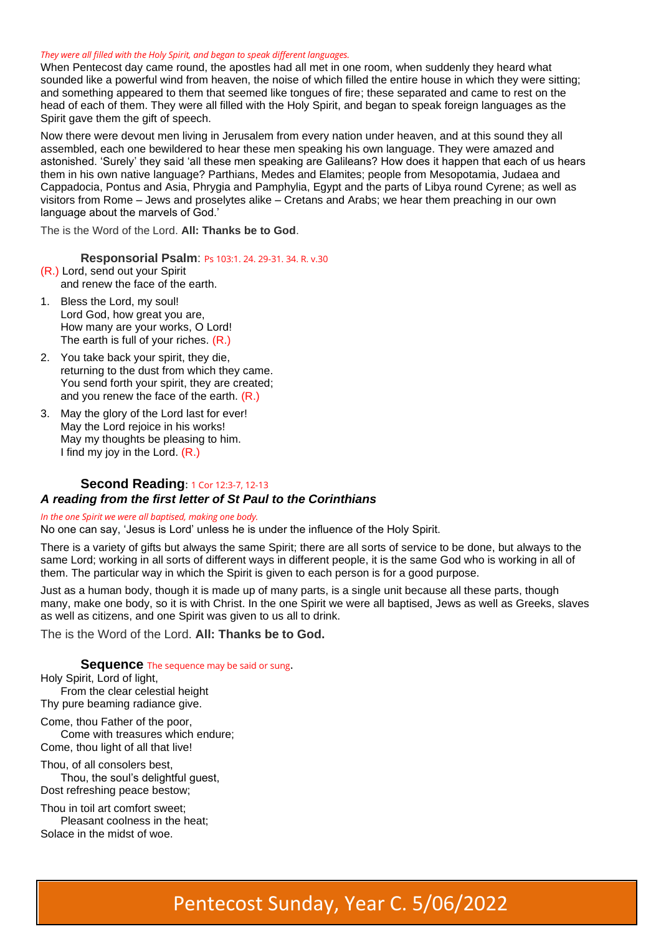#### *They were all filled with the Holy Spirit, and began to speak different languages.*

When Pentecost day came round, the apostles had all met in one room, when suddenly they heard what sounded like a powerful wind from heaven, the noise of which filled the entire house in which they were sitting; and something appeared to them that seemed like tongues of fire; these separated and came to rest on the head of each of them. They were all filled with the Holy Spirit, and began to speak foreign languages as the Spirit gave them the gift of speech.

Now there were devout men living in Jerusalem from every nation under heaven, and at this sound they all assembled, each one bewildered to hear these men speaking his own language. They were amazed and astonished. 'Surely' they said 'all these men speaking are Galileans? How does it happen that each of us hears them in his own native language? Parthians, Medes and Elamites; people from Mesopotamia, Judaea and Cappadocia, Pontus and Asia, Phrygia and Pamphylia, Egypt and the parts of Libya round Cyrene; as well as visitors from Rome – Jews and proselytes alike – Cretans and Arabs; we hear them preaching in our own language about the marvels of God.'

The is the Word of the Lord. **All: Thanks be to God**.

#### **Responsorial Psalm**: Ps 103:1. 24. 29-31. 34. R. v.30

(R.) Lord, send out your Spirit and renew the face of the earth.

- 1. Bless the Lord, my soul! Lord God, how great you are, How many are your works, O Lord! The earth is full of your riches. (R.)
- 2. You take back your spirit, they die, returning to the dust from which they came. You send forth your spirit, they are created; and you renew the face of the earth. (R.)
- 3. May the glory of the Lord last for ever! May the Lord rejoice in his works! May my thoughts be pleasing to him. I find my joy in the Lord. (R.)

# **Second Reading: 1 Cor 12:3-7, 12-13**

## *A reading from the first letter of St Paul to the Corinthians*

#### *In the one Spirit we were all baptised, making one body.*

No one can say, 'Jesus is Lord' unless he is under the influence of the Holy Spirit.

There is a variety of gifts but always the same Spirit; there are all sorts of service to be done, but always to the same Lord; working in all sorts of different ways in different people, it is the same God who is working in all of them. The particular way in which the Spirit is given to each person is for a good purpose.

Just as a human body, though it is made up of many parts, is a single unit because all these parts, though many, make one body, so it is with Christ. In the one Spirit we were all baptised, Jews as well as Greeks, slaves as well as citizens, and one Spirit was given to us all to drink.

The is the Word of the Lord. **All: Thanks be to God.**

#### **Sequence** The sequence may be said or sung.

Holy Spirit, Lord of light, From the clear celestial height Thy pure beaming radiance give.

Come, thou Father of the poor, Come with treasures which endure; Come, thou light of all that live!

Thou, of all consolers best, Thou, the soul's delightful guest, Dost refreshing peace bestow;

Thou in toil art comfort sweet; Pleasant coolness in the heat; Solace in the midst of woe.

# Pentecost Sunday, Year C. 5/06/2022